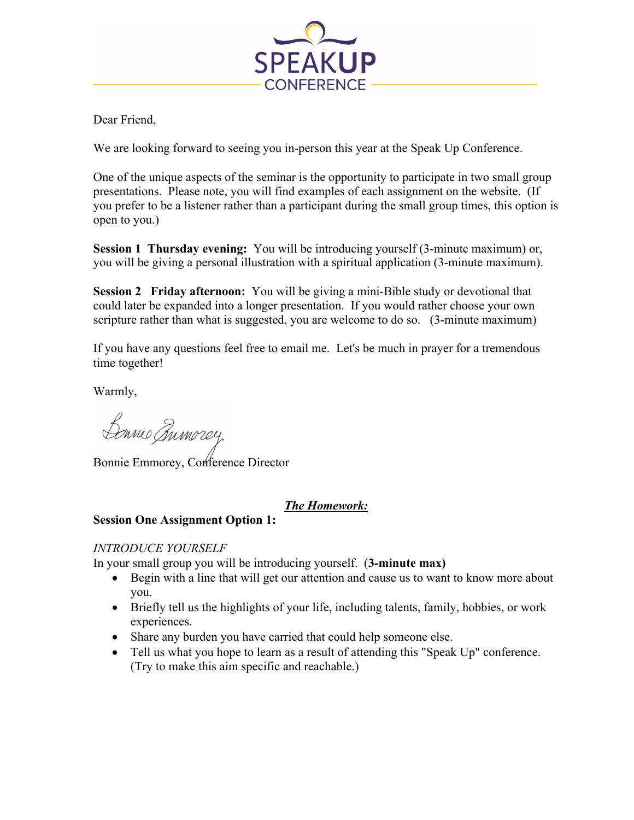

Dear Friend,

We are looking forward to seeing you in-person this year at the Speak Up Conference.

One of the unique aspects of the seminar is the opportunity to participate in two small group presentations. Please note, you will find examples of each assignment on the website. (If you prefer to be a listener rather than a participant during the small group times, this option is open to you.)

**Session 1 Thursday evening:** You will be introducing yourself (3-minute maximum) or, you will be giving a personal illustration with a spiritual application (3-minute maximum).

**Session 2 Friday afternoon:** You will be giving a mini-Bible study or devotional that could later be expanded into a longer presentation. If you would rather choose your own scripture rather than what is suggested, you are welcome to do so. (3-minute maximum)

If you have any questions feel free to email me. Let's be much in prayer for a tremendous time together!

Warmly,

Barnio mmorey

Bonnie Emmorey, Conference Director

## *The Homework:*

## **Session One Assignment Option 1:**

## *INTRODUCE YOURSELF*

In your small group you will be introducing yourself. (**3-minute max)**

- Begin with a line that will get our attention and cause us to want to know more about you.
- Briefly tell us the highlights of your life, including talents, family, hobbies, or work experiences.
- Share any burden you have carried that could help someone else.
- Tell us what you hope to learn as a result of attending this "Speak Up" conference. (Try to make this aim specific and reachable.)